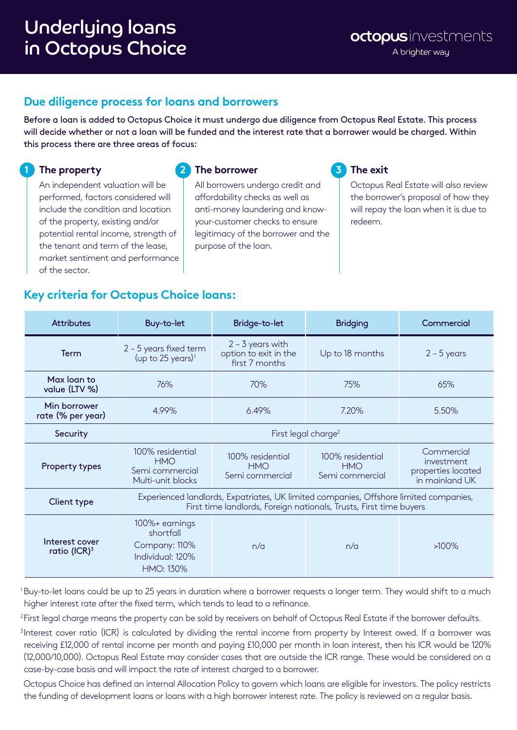## **Due diligence process for loans and borrowers**

Before a loan is added to Octopus Choice it must undergo due diligence from Octopus Real Estate. This process will decide whether or not a loan will be funded and the interest rate that a borrower would be charged. Within this process there are three areas of focus:

## **1 The property**

**2 The borrower**

 An independent valuation will be performed, factors considered will include the condition and location of the property, existing and/or potential rental income, strength of the tenant and term of the lease, market sentiment and performance of the sector.

 All borrowers undergo credit and affordability checks as well as anti-money laundering and knowyour-customer checks to ensure legitimacy of the borrower and the purpose of the loan.

## **3 The exit**

 Octopus Real Estate will also review the borrower's proposal of how they will repay the loan when it is due to redeem.

## **Key criteria for Octopus Choice loans:**

| <b>Attributes</b>                 | Buy-to-let                                                                                                                                                  | Bridge-to-let                                                 | <b>Bridging</b>                                   | Commercial                                                       |  |
|-----------------------------------|-------------------------------------------------------------------------------------------------------------------------------------------------------------|---------------------------------------------------------------|---------------------------------------------------|------------------------------------------------------------------|--|
| Term                              | $2 - 5$ years fixed term<br>(up to 25 years) <sup>1</sup>                                                                                                   | $2 - 3$ years with<br>option to exit in the<br>first 7 months | Up to 18 months                                   | $2 - 5$ years                                                    |  |
| Max loan to<br>value (LTV %)      | 76%                                                                                                                                                         | 70%                                                           | 75%                                               | 65%                                                              |  |
| Min borrower<br>rate (% per year) | 4.99%                                                                                                                                                       | 6.49%                                                         | 7.20%                                             | 5.50%                                                            |  |
| Security                          | First legal charge <sup>2</sup>                                                                                                                             |                                                               |                                                   |                                                                  |  |
| <b>Property types</b>             | 100% residential<br><b>HMO</b><br>Semi commercial<br>Multi-unit blocks                                                                                      | 100% residential<br><b>HMO</b><br>Semi commercial             | 100% residential<br><b>HMO</b><br>Semi commercial | Commercial<br>investment<br>properties located<br>in mainland UK |  |
| Client type                       | Experienced landlords, Expatriates, UK limited companies, Offshore limited companies,<br>First time landlords, Foreign nationals, Trusts, First time buyers |                                                               |                                                   |                                                                  |  |
| Interest cover<br>ratio (ICR) $3$ | 100%+ earnings<br>shortfall<br>Company: 110%<br>Individual: 120%<br><b>HMO: 130%</b>                                                                        | n/a                                                           | n/a                                               | $>100\%$                                                         |  |

1 Buy-to-let loans could be up to 25 years in duration where a borrower requests a longer term. They would shift to a much higher interest rate after the fixed term, which tends to lead to a refinance.

<sup>2</sup> First legal charge means the property can be sold by receivers on behalf of Octopus Real Estate if the borrower defaults.

<sup>3</sup>Interest cover ratio (ICR) is calculated by dividing the rental income from property by Interest owed. If a borrower was receiving £12,000 of rental income per month and paying £10,000 per month in loan interest, then his ICR would be 120% (12,000/10,000). Octopus Real Estate may consider cases that are outside the ICR range. These would be considered on a case-by-case basis and will impact the rate of interest charged to a borrower.

 Octopus Choice has defined an internal Allocation Policy to govern which loans are eligible for investors. The policy restricts the funding of development loans or loans with a high borrower interest rate. The policy is reviewed on a regular basis.